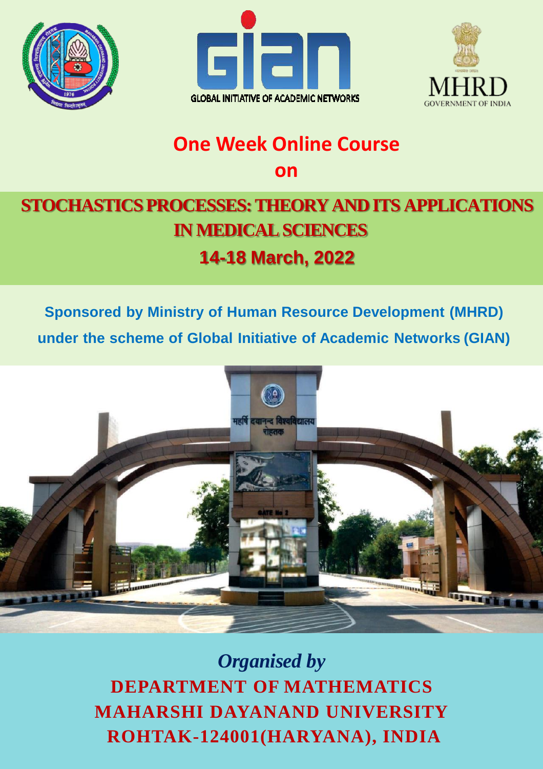





# **One Week Online Course**

**on** 

# **STOCHASTICS PROCESSES: THEORY AND ITS APPLICATIONS IN MEDICAL SCIENCES 14-18 March, 2022**

**Sponsored by Ministry of Human Resource Development (MHRD) under the scheme of Global Initiative of Academic Networks (GIAN)**



*Organised by* **DEPARTMENT OF MATHEMATICS MAHARSHI DAYANAND UNIVERSITY ROHTAK-124001(HARYANA), INDIA**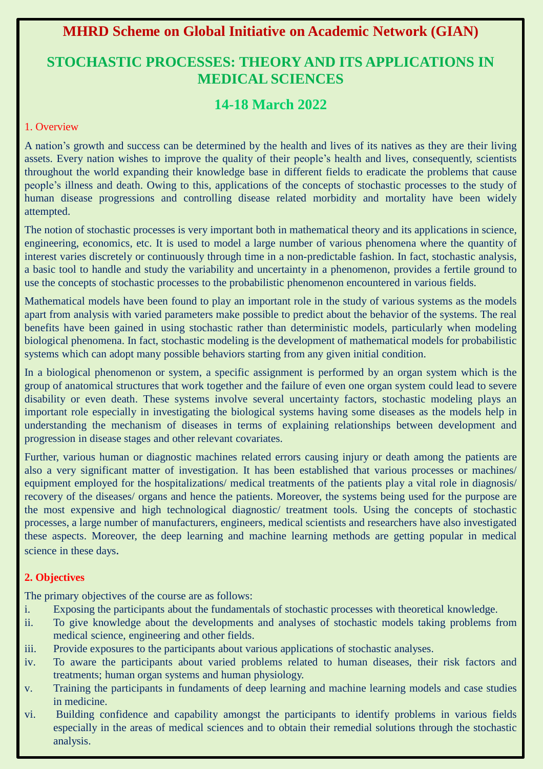## **MHRD Scheme on Global Initiative on Academic Network (GIAN)**

## **STOCHASTIC PROCESSES: THEORY AND ITS APPLICATIONS IN MEDICAL SCIENCES**

## **14-18 March 2022**

### 1. Overview

A nation's growth and success can be determined by the health and lives of its natives as they are their living assets. Every nation wishes to improve the quality of their people's health and lives, consequently, scientists throughout the world expanding their knowledge base in different fields to eradicate the problems that cause people's illness and death. Owing to this, applications of the concepts of stochastic processes to the study of human disease progressions and controlling disease related morbidity and mortality have been widely attempted.

The notion of stochastic processes is very important both in mathematical theory and its applications in science, engineering, economics, etc. It is used to model a large number of various phenomena where the quantity of interest varies discretely or continuously through time in a non-predictable fashion. In fact, stochastic analysis, a basic tool to handle and study the variability and uncertainty in a phenomenon, provides a fertile ground to use the concepts of stochastic processes to the probabilistic phenomenon encountered in various fields.

Mathematical models have been found to play an important role in the study of various systems as the models apart from analysis with varied parameters make possible to predict about the behavior of the systems. The real benefits have been gained in using stochastic rather than deterministic models, particularly when modeling biological phenomena. In fact, stochastic modeling is the development of mathematical models for probabilistic systems which can adopt many possible behaviors starting from any given initial condition.

In a biological phenomenon or system, a specific assignment is performed by an organ system which is the group of anatomical structures that work together and the failure of even one organ system could lead to severe disability or even death. These systems involve several uncertainty factors, stochastic modeling plays an important role especially in investigating the biological systems having some diseases as the models help in understanding the mechanism of diseases in terms of explaining relationships between development and progression in disease stages and other relevant covariates.

Further, various human or diagnostic machines related errors causing injury or death among the patients are also a very significant matter of investigation. It has been established that various processes or machines/ equipment employed for the hospitalizations/ medical treatments of the patients play a vital role in diagnosis/ recovery of the diseases/ organs and hence the patients. Moreover, the systems being used for the purpose are the most expensive and high technological diagnostic/ treatment tools. Using the concepts of stochastic processes, a large number of manufacturers, engineers, medical scientists and researchers have also investigated these aspects. Moreover, the deep learning and machine learning methods are getting popular in medical science in these days.

### **2. Objectives**

The primary objectives of the course are as follows:

- i. Exposing the participants about the fundamentals of stochastic processes with theoretical knowledge.
- ii. To give knowledge about the developments and analyses of stochastic models taking problems from medical science, engineering and other fields.
- iii. Provide exposures to the participants about various applications of stochastic analyses.
- iv. To aware the participants about varied problems related to human diseases, their risk factors and treatments; human organ systems and human physiology.
- v. Training the participants in fundaments of deep learning and machine learning models and case studies in medicine.
- vi. Building confidence and capability amongst the participants to identify problems in various fields especially in the areas of medical sciences and to obtain their remedial solutions through the stochastic analysis.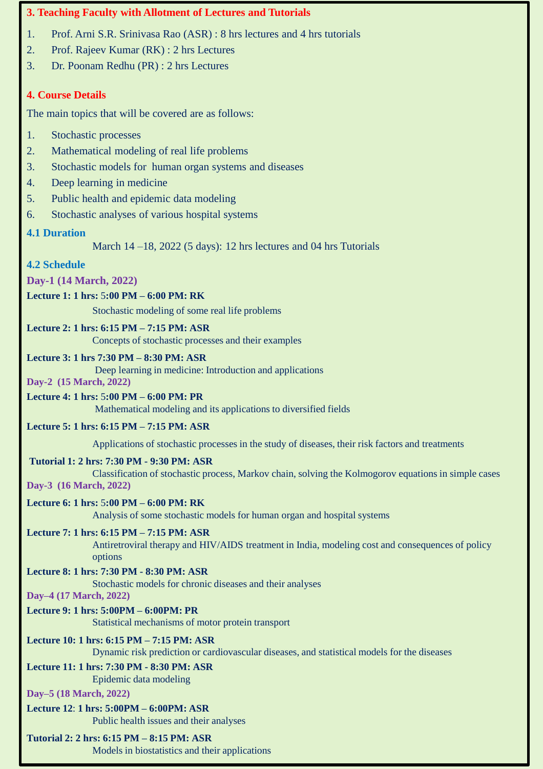### **3. Teaching Faculty with Allotment of Lectures and Tutorials**

- 1. Prof. Arni S.R. Srinivasa Rao (ASR) : 8 hrs lectures and 4 hrs tutorials
- 2. Prof. Rajeev Kumar (RK) : 2 hrs Lectures
- 3. Dr. Poonam Redhu (PR) : 2 hrs Lectures

### **4. Course Details**

The main topics that will be covered are as follows:

- 1. Stochastic processes
- 2. Mathematical modeling of real life problems
- 3. Stochastic models for human organ systems and diseases
- 4. Deep learning in medicine
- 5. Public health and epidemic data modeling
- 6. Stochastic analyses of various hospital systems
- **4.1 Duration**

March 14 –18, 2022 (5 days): 12 hrs lectures and 04 hrs Tutorials

### **4.2 Schedule**

**Day-1 (14 March, 2022)** 

### **Lecture 1: 1 hrs:** 5**:00 PM – 6:00 PM: RK**

Stochastic modeling of some real life problems

- **Lecture 2: 1 hrs: 6:15 PM – 7:15 PM: ASR** Concepts of stochastic processes and their examples
- **Lecture 3: 1 hrs 7:30 PM – 8:30 PM: ASR**

Deep learning in medicine: Introduction and applications

- **Day-2 (15 March, 2022)**
- **Lecture 4: 1 hrs:** 5**:00 PM – 6:00 PM: PR** Mathematical modeling and its applications to diversified fields
- **Lecture 5: 1 hrs: 6:15 PM – 7:15 PM: ASR**

Applications of stochastic processes in the study of diseases, their risk factors and treatments

**Tutorial 1: 2 hrs: 7:30 PM - 9:30 PM: ASR**

 Classification of stochastic process, Markov chain, solving the Kolmogorov equations in simple cases **Day-3 (16 March, 2022)**

**Lecture 6: 1 hrs:** 5**:00 PM – 6:00 PM: RK** Analysis of some stochastic models for human organ and hospital systems

### **Lecture 7: 1 hrs: 6:15 PM – 7:15 PM: ASR**

 Antiretroviral therapy and HIV/AIDS treatment in India, modeling cost and consequences of policy options

## **Lecture 8: 1 hrs: 7:30 PM - 8:30 PM: ASR**

Stochastic models for chronic diseases and their analyses

**Day–4 (17 March, 2022)**

## **Lecture 9: 1 hrs: 5:00PM – 6:00PM: PR**

Statistical mechanisms of motor protein transport

## **Lecture 10: 1 hrs: 6:15 PM – 7:15 PM: ASR**

Dynamic risk prediction or cardiovascular diseases, and statistical models for the diseases

## **Lecture 11: 1 hrs: 7:30 PM - 8:30 PM: ASR**

Epidemic data modeling

## **Day–5 (18 March, 2022)**

**Lecture 12**: **1 hrs: 5:00PM – 6:00PM: ASR** Public health issues and their analyses

## **Tutorial 2: 2 hrs: 6:15 PM – 8:15 PM: ASR**

Models in biostatistics and their applications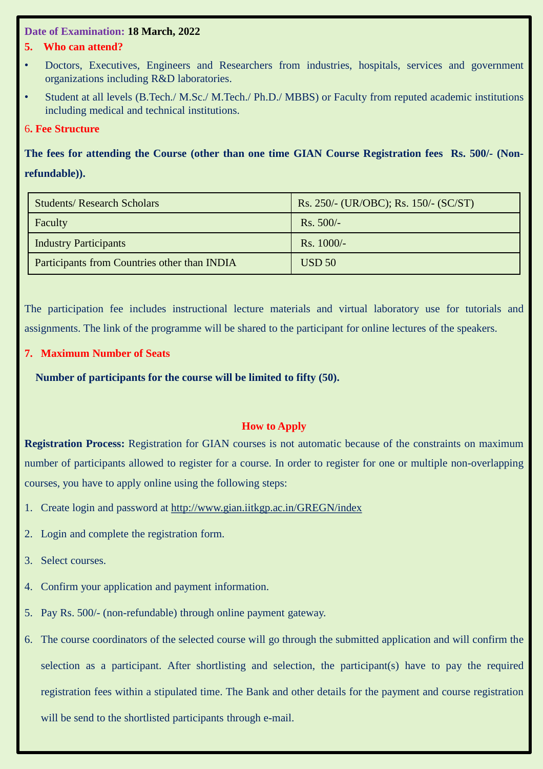### **Date of Examination: 18 March, 2022**

### **5. Who can attend?**

- Doctors, Executives, Engineers and Researchers from industries, hospitals, services and government organizations including R&D laboratories.
- Student at all levels (B.Tech./ M.Sc./ M.Tech./ Ph.D./ MBBS) or Faculty from reputed academic institutions including medical and technical institutions.

### 6**. Fee Structure**

**The fees for attending the Course (other than one time GIAN Course Registration fees Rs. 500/- (Nonrefundable)).**

| <b>Students/ Research Scholars</b>           | Rs. 250/- (UR/OBC); Rs. 150/- (SC/ST) |
|----------------------------------------------|---------------------------------------|
| Faculty                                      | $Rs. 500/-$                           |
| <b>Industry Participants</b>                 | $Rs. 1000/-$                          |
| Participants from Countries other than INDIA | <b>USD 50</b>                         |

The participation fee includes instructional lecture materials and virtual laboratory use for tutorials and assignments. The link of the programme will be shared to the participant for online lectures of the speakers.

### **7. Maximum Number of Seats**

 **Number of participants for the course will be limited to fifty (50).**

### **How to Apply**

**Registration Process:** Registration for GIAN courses is not automatic because of the constraints on maximum number of participants allowed to register for a course. In order to register for one or multiple non-overlapping courses, you have to apply online using the following steps:

- 1. Create login and password at http://www.gian.iitkgp.ac.in/GREGN/index
- 2. Login and complete the registration form.
- 3. Select courses.
- 4. Confirm your application and payment information.
- 5. Pay Rs. 500/- (non-refundable) through online payment gateway.
- 6. The course coordinators of the selected course will go through the submitted application and will confirm the selection as a participant. After shortlisting and selection, the participant(s) have to pay the required registration fees within a stipulated time. The Bank and other details for the payment and course registration will be send to the shortlisted participants through e-mail.